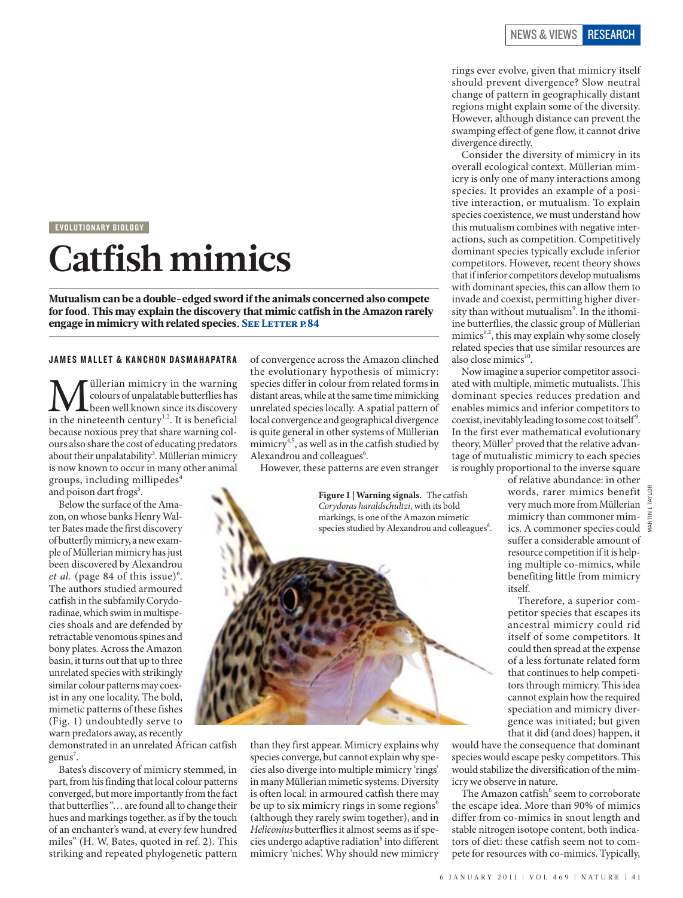EVOLUTIONARY BIOLOGY

## **Catfish mimics**

Mutualism can be a double-edged sword if the animals concerned also compete for food. This may explain the discovery that mimic catfish in the Amazon rarely engage in mimicry with related species. SEE LETTER P.84

## JAMES MALLET & KANCHON DASMAHAPATRA

**M** dillerian mimicry in the warning<br>been well known since its discovery<br>in the nineteenth century<sup>1,2</sup>. It is beneficial colours of unpalatable butterflies has been well known since its discovery because noxious prey that share warning colours also share the cost of educating predators about their unpalatability<sup>3</sup>. Müllerian mimicry is now known to occur in many other animal groups, including millipedes $4$ 

and poison dart frogs<sup>5</sup>.

Below the surface of the Amazon, on whose banks Henry Walter Bates made the first discovery of butterfly mimicry, a new example of Müllerian mimicry has just been discovered by Alexandrou et al. (page 84 of this issue)<sup>6</sup>. The authors studied armoured catfish in the subfamily Corydoradinae, which swim in multispecies shoals and are defended by retractable venomous spines and bony plates. Across the Amazon basin, it turns out that up to three unrelated species with strikingly similar colour patterns may coexist in any one locality. The bold, mimetic patterns of these fishes (Fig. 1) undoubtedly serve to warn predators away, as recently

demonstrated in an unrelated African catfish genus<sup>7</sup>.

Bates's discovery of mimicry stemmed, in part, from his finding that local colour patterns converged, but more importantly from the fact that butterflies "… are found all to change their hues and markings together, as if by the touch of an enchanter's wand, at every few hundred miles" (H. W. Bates, quoted in ref. 2). This striking and repeated phylogenetic pattern

of convergence across the Amazon clinched the evolutionary hypothesis of mimicry: species differ in colour from related forms in distant areas, while at the same time mimicking unrelated species locally. A spatial pattern of local convergence and geographical divergence is quite general in other systems of Müllerian mimicry<sup>4,5</sup>, as well as in the catfish studied by Alexandrou and colleagues<sup>6</sup>.

However, these patterns are even stranger

than they first appear. Mimicry explains why species converge, but cannot explain why species also diverge into multiple mimicry 'rings' in many Müllerian mimetic systems. Diversity is often local: in armoured catfish there may be up to six mimicry rings in some regions<sup>6</sup> (although they rarely swim together), and in *Heliconius* butterflies it almost seems as if species undergo adaptive radiation<sup>8</sup> into different mimicry 'niches'. Why should new mimicry

**Figure 1 | Warning signals.** The catfish *Corydoras haraldschultzi*, with its bold markings, is one of the Amazon mimetic species studied by Alexandrou and colleagues<sup>6</sup>.

rings ever evolve, given that mimicry itself should prevent divergence? Slow neutral change of pattern in geographically distant regions might explain some of the diversity. However, although distance can prevent the swamping effect of gene flow, it cannot drive divergence directly.

Consider the diversity of mimicry in its overall ecological context. Müllerian mimicry is only one of many interactions among species. It provides an example of a positive interaction, or mutualism. To explain species coexistence, we must understand how this mutualism combines with negative interactions, such as competition. Competitively dominant species typically exclude inferior competitors. However, recent theory shows that if inferior competitors develop mutualisms with dominant species, this can allow them to invade and coexist, permitting higher diversity than without mutualism<sup>9</sup>. In the ithomiine butterflies, the classic group of Müllerian mimics<sup>1,2</sup>, this may explain why some closely related species that use similar resources are also close mimics $10$ .

Now imagine a superior competitor associated with multiple, mimetic mutualists. This dominant species reduces predation and enables mimics and inferior competitors to coexist, inevitably leading to some cost to itself<sup>9</sup>. In the first ever mathematical evolutionary theory, Müller<sup>2</sup> proved that the relative advantage of mutualistic mimicry to each species is roughly proportional to the inverse square

of relative abundance: in other words, rarer mimics benefit very much more from Müllerian mimicry than commoner mimics. A commoner species could suffer a considerable amount of resource competition if it is helping multiple co-mimics, while benefiting little from mimicry itself.

martin i. taylor

Therefore, a superior competitor species that escapes its ancestral mimicry could rid itself of some competitors. It could then spread at the expense of a less fortunate related form that continues to help competitors through mimicry. This idea cannot explain how the required speciation and mimicry divergence was initiated; but given that it did (and does) happen, it

would have the consequence that dominant species would escape pesky competitors. This would stabilize the diversification of the mimicry we observe in nature.

The Amazon catfish<sup>6</sup> seem to corroborate the escape idea. More than 90% of mimics differ from co-mimics in snout length and stable nitrogen isotope content, both indicators of diet: these catfish seem not to compete for resources with co-mimics. Typically,